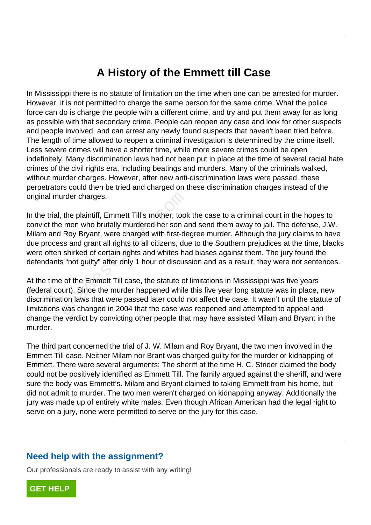## **A History of the Emmett till Case**

In Mississippi there is no statute of limitation on the time when one can be arrested for murder. However, it is not permitted to charge the same person for the same crime. What the police force can do is charge the people with a different crime, and try and put them away for as long as possible with that secondary crime. People can reopen any case and look for other suspects and people involved, and can arrest any newly found suspects that haven't been tried before. The length of time allowed to reopen a criminal investigation is determined by the crime itself. Less severe crimes will have a shorter time, while more severe crimes could be open indefinitely. Many discrimination laws had not been put in place at the time of several racial hate crimes of the civil rights era, including beatings and murders. Many of the criminals walked, without murder charges. However, after new anti-discrimination laws were passed, these perpetrators could then be tried and charged on these discrimination charges instead of the original murder charges.

In the trial, the plaintiff, Emmett Till's mother, took the case to a criminal court in the hopes to convict the men who brutally murdered her son and send them away to jail. The defense, J.W. Milam and Roy Bryant, were charged with first-degree murder. Although the jury claims to have due process and grant all rights to all citizens, due to the Southern prejudices at the time, blacks were often shirked of certain rights and whites had biases against them. The jury found the defendants "not guilty" after only 1 hour of discussion and as a result, they were not sentences. The plaintiff, Emmett Till's mother, tooketing the plaintiff, Emmett Till's mother, tooketing the son a Roy Bryant, were charged with first-dess and grant all rights to all citizens, dues hirked of certain rights and white

At the time of the Emmett Till case, the statute of limitations in Mississippi was five years (federal court). Since the murder happened while this five year long statute was in place, new discrimination laws that were passed later could not affect the case. It wasn't until the statute of limitations was changed in 2004 that the case was reopened and attempted to appeal and change the verdict by convicting other people that may have assisted Milam and Bryant in the murder.

The third part concerned the trial of J. W. Milam and Roy Bryant, the two men involved in the Emmett Till case. Neither Milam nor Brant was charged guilty for the murder or kidnapping of Emmett. There were several arguments: The sheriff at the time H. C. Strider claimed the body could not be positively identified as Emmett Till. The family argued against the sheriff, and were sure the body was Emmett's. Milam and Bryant claimed to taking Emmett from his home, but did not admit to murder. The two men weren't charged on kidnapping anyway. Additionally the jury was made up of entirely white males. Even though African American had the legal right to serve on a jury, none were permitted to serve on the jury for this case.

## **Need help with the assignment?**

Our professionals are ready to assist with any writing!